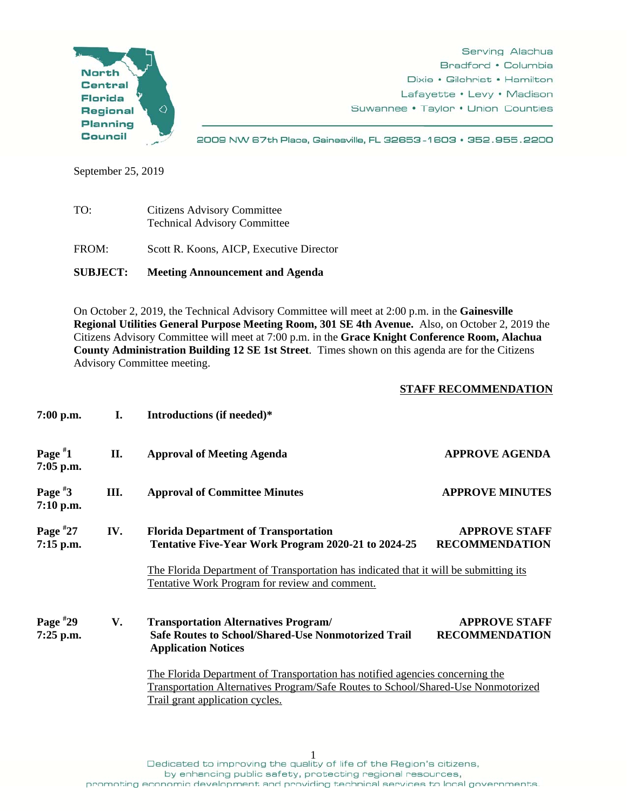

Serving Alachua Bradford • Columbia Dixie • Gilchrist • Hamilton Lafayette • Levy • Madison Suwannee • Taylor • Union Counties

2009 NW 67th Place, Gainesville, FL 32653-1603 · 352.955.2200

September 25, 2019

TO: Citizens Advisory Committee Technical Advisory Committee FROM: Scott R. Koons, AICP, Executive Director

**SUBJECT: Meeting Announcement and Agenda** 

On October 2, 2019, the Technical Advisory Committee will meet at 2:00 p.m. in the **Gainesville Regional Utilities General Purpose Meeting Room, 301 SE 4th Avenue.** Also, on October 2, 2019 the Citizens Advisory Committee will meet at 7:00 p.m. in the **Grace Knight Conference Room, Alachua County Administration Building 12 SE 1st Street**. Times shown on this agenda are for the Citizens Advisory Committee meeting.

## **STAFF RECOMMENDATION**

| $7:00$ p.m.               | I.  | Introductions (if needed)*                                                                                                                                                                                                                                  |                                                                                                                                    |  |
|---------------------------|-----|-------------------------------------------------------------------------------------------------------------------------------------------------------------------------------------------------------------------------------------------------------------|------------------------------------------------------------------------------------------------------------------------------------|--|
| Page $*1$<br>7:05 p.m.    | II. | <b>Approval of Meeting Agenda</b>                                                                                                                                                                                                                           | <b>APPROVE AGENDA</b>                                                                                                              |  |
| Page $*3$<br>$7:10$ p.m.  | Ш.  | <b>Approval of Committee Minutes</b>                                                                                                                                                                                                                        | <b>APPROVE MINUTES</b>                                                                                                             |  |
| Page $*27$<br>7:15 p.m.   | IV. | <b>Florida Department of Transportation</b><br>Tentative Five-Year Work Program 2020-21 to 2024-25<br>The Florida Department of Transportation has indicated that it will be submitting its<br>Tentative Work Program for review and comment.               | <b>APPROVE STAFF</b><br><b>RECOMMENDATION</b>                                                                                      |  |
| Page $*29$<br>$7:25$ p.m. | V.  | <b>Transportation Alternatives Program/</b><br><b>Safe Routes to School/Shared-Use Nonmotorized Trail</b><br><b>Application Notices</b><br>The Florida Department of Transportation has notified agencies concerning the<br>Trail grant application cycles. | <b>APPROVE STAFF</b><br><b>RECOMMENDATION</b><br>Transportation Alternatives Program/Safe Routes to School/Shared-Use Nonmotorized |  |